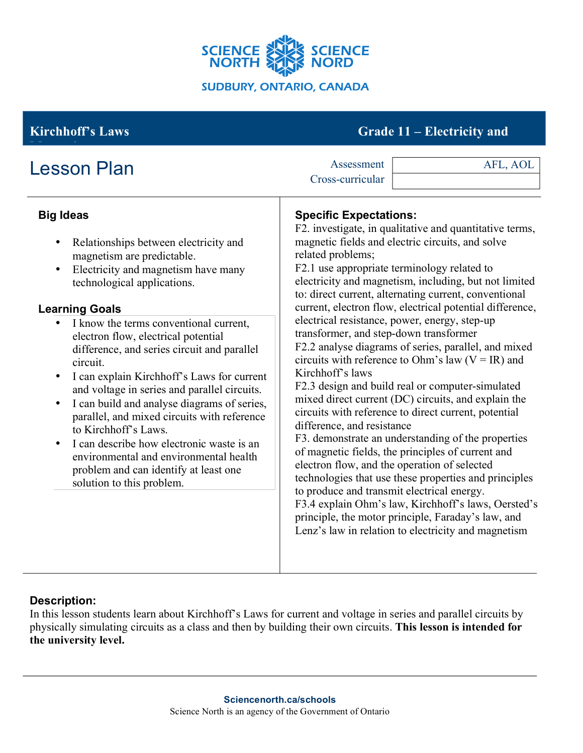

# **Kirchhoff's Laws** Grade 11 – **Electricity and**

| <b>Lesson Plan</b>                                                                                                                                                                                                                                                                                                                                                                                                                                                                                                                                                                                                                                                                                                                                                      | Assessment<br>AFL, AOL<br>Cross-curricular                                                                                                                                                                                                                                                                                                                                                                                                                                                                                                                                                                                                                                                                                                                                                                                                                                                                                                                                                                                                                                                                                                                                                                                                                            |  |
|-------------------------------------------------------------------------------------------------------------------------------------------------------------------------------------------------------------------------------------------------------------------------------------------------------------------------------------------------------------------------------------------------------------------------------------------------------------------------------------------------------------------------------------------------------------------------------------------------------------------------------------------------------------------------------------------------------------------------------------------------------------------------|-----------------------------------------------------------------------------------------------------------------------------------------------------------------------------------------------------------------------------------------------------------------------------------------------------------------------------------------------------------------------------------------------------------------------------------------------------------------------------------------------------------------------------------------------------------------------------------------------------------------------------------------------------------------------------------------------------------------------------------------------------------------------------------------------------------------------------------------------------------------------------------------------------------------------------------------------------------------------------------------------------------------------------------------------------------------------------------------------------------------------------------------------------------------------------------------------------------------------------------------------------------------------|--|
| <b>Big Ideas</b><br>Relationships between electricity and<br>$\bullet$<br>magnetism are predictable.<br>Electricity and magnetism have many<br>$\bullet$<br>technological applications.<br><b>Learning Goals</b><br>I know the terms conventional current,<br>electron flow, electrical potential<br>difference, and series circuit and parallel<br>circuit.<br>I can explain Kirchhoff's Laws for current<br>$\bullet$<br>and voltage in series and parallel circuits.<br>I can build and analyse diagrams of series,<br>parallel, and mixed circuits with reference<br>to Kirchhoff's Laws.<br>I can describe how electronic waste is an<br>$\bullet$<br>environmental and environmental health<br>problem and can identify at least one<br>solution to this problem. | <b>Specific Expectations:</b><br>F2. investigate, in qualitative and quantitative terms,<br>magnetic fields and electric circuits, and solve<br>related problems;<br>F2.1 use appropriate terminology related to<br>electricity and magnetism, including, but not limited<br>to: direct current, alternating current, conventional<br>current, electron flow, electrical potential difference,<br>electrical resistance, power, energy, step-up<br>transformer, and step-down transformer<br>F2.2 analyse diagrams of series, parallel, and mixed<br>circuits with reference to Ohm's law ( $V = IR$ ) and<br>Kirchhoff's laws<br>F2.3 design and build real or computer-simulated<br>mixed direct current (DC) circuits, and explain the<br>circuits with reference to direct current, potential<br>difference, and resistance<br>F3. demonstrate an understanding of the properties<br>of magnetic fields, the principles of current and<br>electron flow, and the operation of selected<br>technologies that use these properties and principles<br>to produce and transmit electrical energy.<br>F3.4 explain Ohm's law, Kirchhoff's laws, Oersted's<br>principle, the motor principle, Faraday's law, and<br>Lenz's law in relation to electricity and magnetism |  |

## **Description:**

In this lesson students learn about Kirchhoff's Laws for current and voltage in series and parallel circuits by physically simulating circuits as a class and then by building their own circuits. **This lesson is intended for the university level.**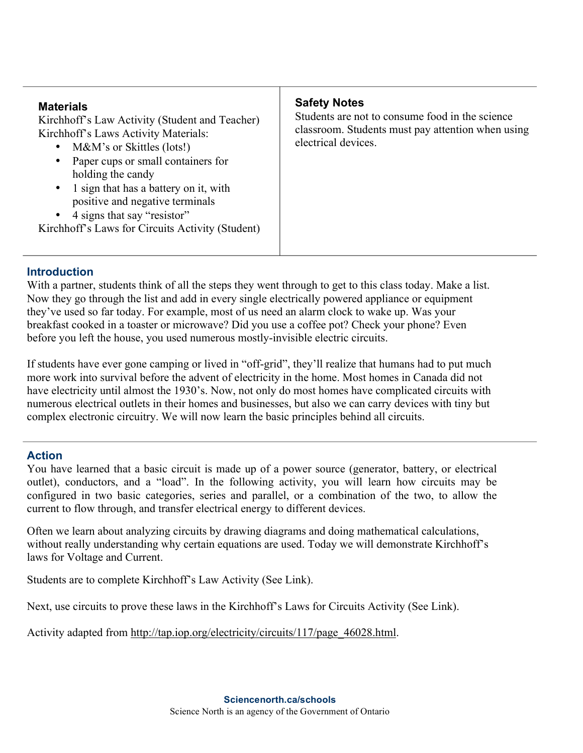## **Introduction**

With a partner, students think of all the steps they went through to get to this class today. Make a list. Now they go through the list and add in every single electrically powered appliance or equipment they've used so far today. For example, most of us need an alarm clock to wake up. Was your breakfast cooked in a toaster or microwave? Did you use a coffee pot? Check your phone? Even before you left the house, you used numerous mostly-invisible electric circuits.

If students have ever gone camping or lived in "off-grid", they'll realize that humans had to put much more work into survival before the advent of electricity in the home. Most homes in Canada did not have electricity until almost the 1930's. Now, not only do most homes have complicated circuits with numerous electrical outlets in their homes and businesses, but also we can carry devices with tiny but complex electronic circuitry. We will now learn the basic principles behind all circuits.

## **Action**

You have learned that a basic circuit is made up of a power source (generator, battery, or electrical outlet), conductors, and a "load". In the following activity, you will learn how circuits may be configured in two basic categories, series and parallel, or a combination of the two, to allow the current to flow through, and transfer electrical energy to different devices.

Often we learn about analyzing circuits by drawing diagrams and doing mathematical calculations, without really understanding why certain equations are used. Today we will demonstrate Kirchhoff's laws for Voltage and Current.

Students are to complete Kirchhoff's Law Activity (See Link).

Next, use circuits to prove these laws in the Kirchhoff's Laws for Circuits Activity (See Link).

Activity adapted from http://tap.iop.org/electricity/circuits/117/page\_46028.html.